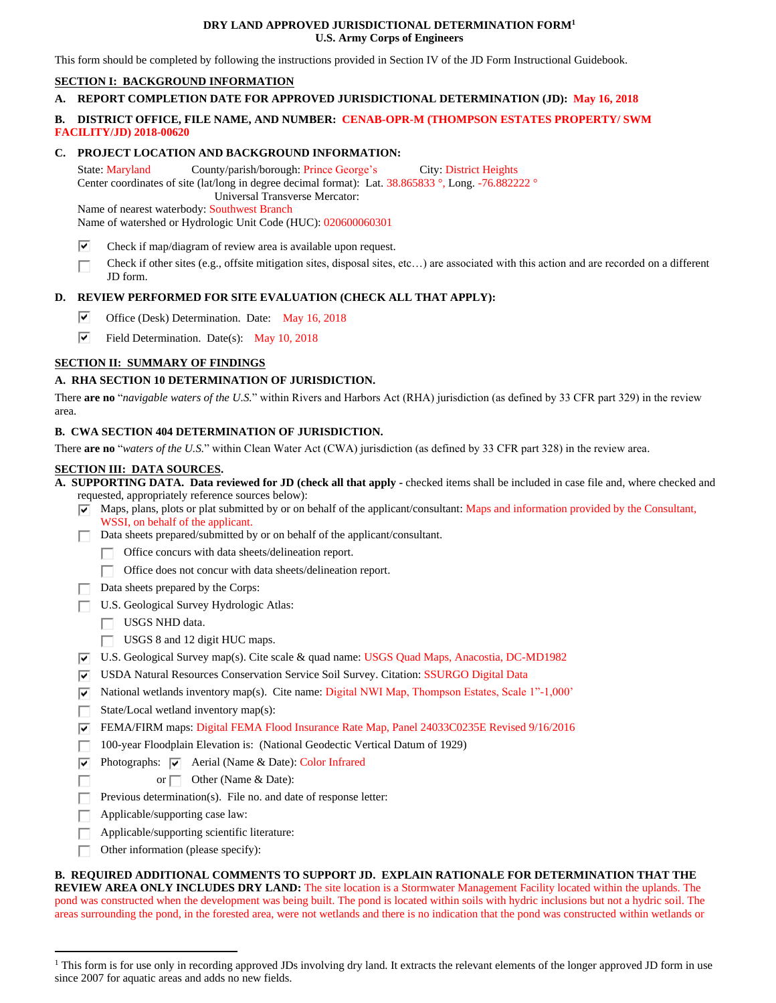#### **DRY LAND APPROVED JURISDICTIONAL DETERMINATION FORM<sup>1</sup> U.S. Army Corps of Engineers**

This form should be completed by following the instructions provided in Section IV of the JD Form Instructional Guidebook.

# **SECTION I: BACKGROUND INFORMATION**

# **A. REPORT COMPLETION DATE FOR APPROVED JURISDICTIONAL DETERMINATION (JD): May 16, 2018**

# **B. DISTRICT OFFICE, FILE NAME, AND NUMBER: CENAB-OPR-M (THOMPSON ESTATES PROPERTY/ SWM FACILITY/JD) 2018-00620**

#### **C. PROJECT LOCATION AND BACKGROUND INFORMATION:**

State: Maryland County/parish/borough: Prince George's City: District Heights Center coordinates of site (lat/long in degree decimal format): Lat. 38.865833 °, Long. -76.882222 ° Universal Transverse Mercator:

Name of nearest waterbody: Southwest Branch

Name of watershed or Hydrologic Unit Code (HUC): 020600060301

- ⊽ Check if map/diagram of review area is available upon request.
- Check if other sites (e.g., offsite mitigation sites, disposal sites, etc…) are associated with this action and are recorded on a different П JD form.

## **D. REVIEW PERFORMED FOR SITE EVALUATION (CHECK ALL THAT APPLY):**

- ☞ Office (Desk) Determination. Date: May 16, 2018
- ⊽ Field Determination. Date(s): May 10, 2018

## **SECTION II: SUMMARY OF FINDINGS**

## **A. RHA SECTION 10 DETERMINATION OF JURISDICTION.**

There **are no** "*navigable waters of the U.S.*" within Rivers and Harbors Act (RHA) jurisdiction (as defined by 33 CFR part 329) in the review area.

#### **B. CWA SECTION 404 DETERMINATION OF JURISDICTION.**

There **are no** "*waters of the U.S.*" within Clean Water Act (CWA) jurisdiction (as defined by 33 CFR part 328) in the review area.

#### **SECTION III: DATA SOURCES.**

**A. SUPPORTING DATA. Data reviewed for JD (check all that apply -** checked items shall be included in case file and, where checked and requested, appropriately reference sources below):

- $\blacktriangledown$  Maps, plans, plots or plat submitted by or on behalf of the applicant/consultant: Maps and information provided by the Consultant, WSSI, on behalf of the applicant.
- Data sheets prepared/submitted by or on behalf of the applicant/consultant.
	- Office concurs with data sheets/delineation report.
	- Office does not concur with data sheets/delineation report.
- Data sheets prepared by the Corps:
- U.S. Geological Survey Hydrologic Atlas:
	- USGS NHD data.
	- USGS 8 and 12 digit HUC maps.
- U.S. Geological Survey map(s). Cite scale & quad name: USGS Quad Maps, Anacostia, DC-MD1982
- USDA Natural Resources Conservation Service Soil Survey. Citation: SSURGO Digital Data
- $\overline{|v|}$  National wetlands inventory map(s). Cite name: Digital NWI Map, Thompson Estates, Scale 1"-1,000"
- State/Local wetland inventory map(s): I.
- FEMA/FIRM maps: Digital FEMA Flood Insurance Rate Map, Panel 24033C0235E Revised 9/16/2016
- 100-year Floodplain Elevation is: (National Geodectic Vertical Datum of 1929)
- ⊽⊟ Photographs:  $\overline{\vee}$  Aerial (Name & Date): Color Infrared
	- or Other (Name & Date):
- Previous determination(s). File no. and date of response letter: г
- Applicable/supporting case law: Г

 $\overline{a}$ 

Г

- Applicable/supporting scientific literature: Г
- Other information (please specify): П.

**B. REQUIRED ADDITIONAL COMMENTS TO SUPPORT JD. EXPLAIN RATIONALE FOR DETERMINATION THAT THE REVIEW AREA ONLY INCLUDES DRY LAND:** The site location is a Stormwater Management Facility located within the uplands. The pond was constructed when the development was being built. The pond is located within soils with hydric inclusions but not a hydric soil. The areas surrounding the pond, in the forested area, were not wetlands and there is no indication that the pond was constructed within wetlands or

<sup>&</sup>lt;sup>1</sup> This form is for use only in recording approved JDs involving dry land. It extracts the relevant elements of the longer approved JD form in use since 2007 for aquatic areas and adds no new fields.